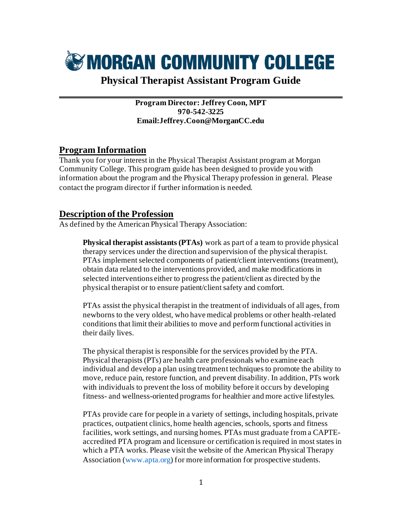

# **Physical Therapist Assistant Program Guide** \_\_\_\_\_\_\_\_\_\_\_\_\_\_\_\_\_\_\_\_\_\_\_\_\_\_\_\_\_\_\_\_\_\_\_\_\_\_\_\_\_\_\_\_\_\_\_\_\_\_\_\_\_\_

**Program Director: Jeffrey Coon, MPT 970-542-3225 Email:Jeffrey.Coon@MorganCC.edu**

### **Program Information**

Thank you for your interest in the Physical Therapist Assistant program at Morgan Community College. This program guide has been designed to provide you with information about the program and the Physical Therapy profession in general. Please contact the program director if further information is needed.

### **Description of the Profession**

As defined by the American Physical Therapy Association:

**Physical therapist assistants (PTAs)** work as part of a team to provide physical therapy services under the direction and supervision of the physical therapist. PTAs implement selected components of patient/client interventions (treatment), obtain data related to the interventions provided, and make modifications in selected interventions either to progress the patient/client as directed by the physical therapist or to ensure patient/client safety and comfort.

PTAs assist the physical therapist in the treatment of individuals of all ages, from newborns to the very oldest, who have medical problems or other health-related conditions that limit their abilities to move and perform functional activities in their daily lives.

The physical therapist is responsible for the services provided by the PTA. Physical therapists (PTs) are health care professionals who examine each individual and develop a plan using treatment techniques to promote the ability to move, reduce pain, restore function, and prevent disability. In addition, PTs work with individuals to prevent the loss of mobility before it occurs by developing fitness- and wellness-oriented programs for healthier and more active lifestyles.

PTAs provide care for people in a variety of settings, including hospitals, private practices, outpatient clinics, home health agencies, schools, sports and fitness facilities, work settings, and nursing homes. PTAs must graduate from a CAPTEaccredited PTA program and licensure or certification is required in most states in which a PTA works. Please visit the website of the American Physical Therapy Association (www.apta.org) for more information for prospective students.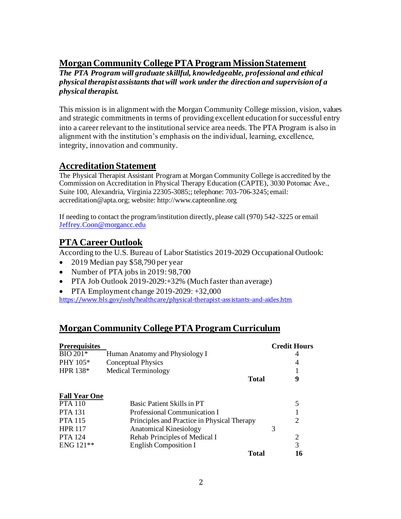## **Morgan Community College PTA Program Mission Statement**

*The PTA Program will graduate skillful, knowledgeable, professional and ethical physical therapist assistants that will work under the direction and supervision of a physical therapist.*

This mission is in alignment with the Morgan Community College mission, vision, values and strategic commitments in terms of providing excellent education for successful entry into a career relevant to the institutional service area needs. The PTA Program is also in alignment with the institution's emphasis on the individual, learning, excellence, integrity, innovation and community.

### **Accreditation Statement**

The Physical Therapist Assistant Program at Morgan Community College is accredited by the Commission on Accreditation in Physical Therapy Education (CAPTE), 3030 Potomac Ave., Suite 100, Alexandria, Virginia 22305-3085;; telephone: 703-706-3245; email: accreditation@apta.org; website: http://www.capteonline.org

If needing to contact the program/institution directly, please call (970) 542-3225 or email [Jeffrey.Coon@morgancc.edu](mailto:Jeffrey.Coon@morgancc.edu)

# **PTA Career Outlook**

According to the U.S. Bureau of Labor Statistics 2019-2029 Occupational Outlook:

- 2019 Median pay \$58,790 per year
- Number of PTA jobs in 2019: 98,700
- PTA Job Outlook 2019-2029: + 32% (Much faster than average)

• PTA Employment change 2019-2029: +32,000

<https://www.bls.gov/ooh/healthcare/physical-therapist-assistants-and-aides.htm>

# **Morgan Community College PTA Program Curriculum**

| <b>Prerequisites</b> |                                             | <b>Credit Hours</b> |
|----------------------|---------------------------------------------|---------------------|
| BIO 201*             | Human Anatomy and Physiology I              | 4                   |
| PHY 105*             | <b>Conceptual Physics</b>                   | 4                   |
| HPR $138*$           | <b>Medical Terminology</b>                  |                     |
|                      | <b>Total</b>                                | 9                   |
| <b>Fall Year One</b> |                                             |                     |
| <b>PTA</b> 110       | Basic Patient Skills in PT                  | 5                   |
| <b>PTA 131</b>       | Professional Communication I                |                     |
| <b>PTA 115</b>       | Principles and Practice in Physical Therapy | 2                   |
| <b>HPR 117</b>       | <b>Anatomical Kinesiology</b>               | 3                   |
| <b>PTA</b> 124       | Rehab Principles of Medical I               | 2                   |
| $ENG 121**$          | <b>English Composition I</b>                | 3                   |
|                      | Total                                       | 16                  |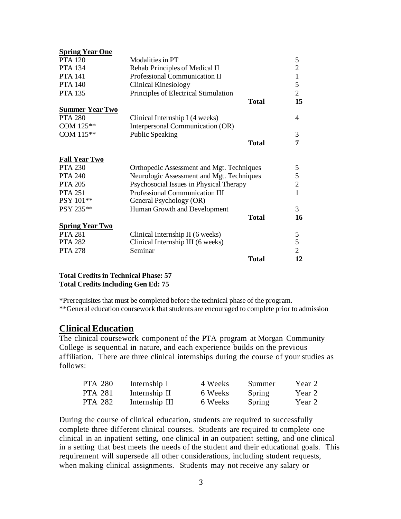| <b>Spring Year One</b> |                                           |              |                |
|------------------------|-------------------------------------------|--------------|----------------|
| <b>PTA 120</b>         | Modalities in PT                          |              | 5              |
| <b>PTA</b> 134         | Rehab Principles of Medical II            |              | $\overline{2}$ |
| <b>PTA 141</b>         | Professional Communication II             |              | 1              |
| <b>PTA 140</b>         | <b>Clinical Kinesiology</b>               |              | 5              |
| <b>PTA 135</b>         | Principles of Electrical Stimulation      |              | $\overline{2}$ |
|                        |                                           | <b>Total</b> | 15             |
| <b>Summer Year Two</b> |                                           |              |                |
| <b>PTA 280</b>         | Clinical Internship I (4 weeks)           |              | 4              |
| COM 125**              | Interpersonal Communication (OR)          |              |                |
| COM 115**              | <b>Public Speaking</b>                    |              | 3              |
|                        |                                           | <b>Total</b> | 7              |
| <b>Fall Year Two</b>   |                                           |              |                |
| <b>PTA 230</b>         | Orthopedic Assessment and Mgt. Techniques |              | 5              |
| <b>PTA 240</b>         | Neurologic Assessment and Mgt. Techniques |              | 5              |
| <b>PTA 205</b>         | Psychosocial Issues in Physical Therapy   |              | $\overline{2}$ |
| <b>PTA 251</b>         | Professional Communication III            |              | 1              |
| PSY 101**              | General Psychology (OR)                   |              |                |
| PSY 235**              | Human Growth and Development              |              | 3              |
|                        |                                           | <b>Total</b> | 16             |
| <b>Spring Year Two</b> |                                           |              |                |
| <b>PTA 281</b>         | Clinical Internship II (6 weeks)          |              | 5              |
| <b>PTA 282</b>         | Clinical Internship III (6 weeks)         |              | 5              |
| <b>PTA 278</b>         | Seminar                                   |              | $\overline{2}$ |
|                        |                                           | <b>Total</b> | 12             |

**Total Credits in Technical Phase: 57 Total Credits Including Gen Ed: 75**

\*Prerequisites that must be completed before the technical phase of the program. \*\*General education coursework that students are encouraged to complete prior to admission

#### **Clinical Education**

The clinical coursework component of the PTA program at Morgan Community College is sequential in nature, and each experience builds on the previous affiliation. There are three clinical internships during the course of your studies as follows:

| <b>PTA 280</b> | Internship I   | 4 Weeks | Summer | Year 2 |
|----------------|----------------|---------|--------|--------|
| <b>PTA 281</b> | Internship II  | 6 Weeks | Spring | Year 2 |
| <b>PTA 282</b> | Internship III | 6 Weeks | Spring | Year 2 |

During the course of clinical education, students are required to successfully complete three different clinical courses. Students are required to complete one clinical in an inpatient setting, one clinical in an outpatient setting, and one clinical in a setting that best meets the needs of the student and their educational goals. This requirement will supersede all other considerations, including student requests, when making clinical assignments. Students may not receive any salary or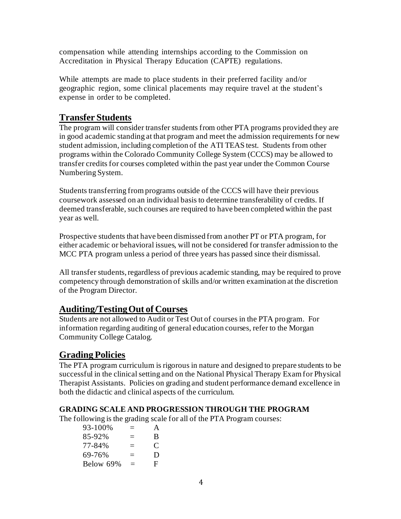compensation while attending internships according to the Commission on Accreditation in Physical Therapy Education (CAPTE) regulations.

While attempts are made to place students in their preferred facility and/or geographic region, some clinical placements may require travel at the student's expense in order to be completed.

# **Transfer Students**

The program will consider transfer students from other PTA programs provided they are in good academic standing at that program and meet the admission requirements for new student admission, including completion of the ATI TEAS test. Students from other programs within the Colorado Community College System (CCCS) may be allowed to transfer credits for courses completed within the past year under the Common Course Numbering System.

Students transferring from programs outside of the CCCS will have their previous coursework assessed on an individual basis to determine transferability of credits. If deemed transferable, such courses are required to have been completed within the past year as well.

Prospective students that have been dismissed from another PT or PTA program, for either academic or behavioral issues, will not be considered for transfer admission to the MCC PTA program unless a period of three years has passed since their dismissal.

All transfer students, regardless of previous academic standing, may be required to prove competency through demonstration of skills and/or written examination at the discretion of the Program Director.

# **Auditing/Testing Out of Courses**

Students are not allowed to Audit or Test Out of courses in the PTA program. For information regarding auditing of general education courses, refer to the Morgan Community College Catalog.

### **Grading Policies**

The PTA program curriculum is rigorous in nature and designed to prepare students to be successful in the clinical setting and on the National Physical Therapy Exam for Physical Therapist Assistants. Policies on grading and student performance demand excellence in both the didactic and clinical aspects of the curriculum.

#### **GRADING SCALE AND PROGRESSION THROUGH THE PROGRAM**

The following is the grading scale for all of the PTA Program courses:

| 93-100%   | $\equiv$ | A |
|-----------|----------|---|
| 85-92%    | $\equiv$ | B |
| 77-84%    | $\equiv$ | C |
| 69-76%    | $=$      | D |
| Below 69% | $=$      | Е |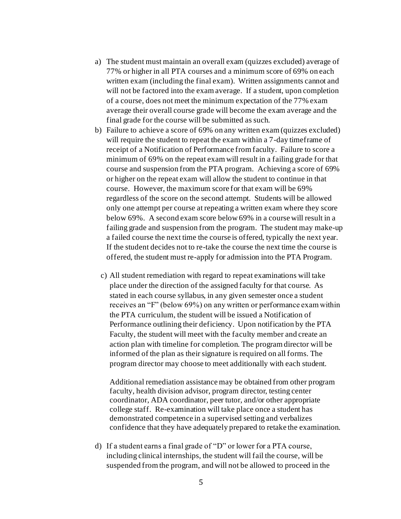- a) The student must maintain an overall exam (quizzes excluded) average of 77% or higher in all PTA courses and a minimum score of 69% on each written exam (including the final exam). Written assignments cannot and will not be factored into the exam average. If a student, upon completion of a course, does not meet the minimum expectation of the 77% exam average their overall course grade will become the exam average and the final grade for the course will be submitted as such.
- b) Failure to achieve a score of 69% on any written exam (quizzes excluded) will require the student to repeat the exam within a 7-day time frame of receipt of a Notification of Performance from faculty. Failure to score a minimum of 69% on the repeat exam will result in a failing grade for that course and suspension from the PTA program. Achieving a score of 69% or higher on the repeat exam will allow the student to continue in that course. However, the maximum score for that exam will be 69% regardless of the score on the second attempt. Students will be allowed only one attempt per course at repeating a written exam where they score below 69%. A second exam score below 69% in a course will result in a failing grade and suspension from the program. The student may make-up a failed course the next time the course is offered, typically the next year. If the student decides not to re-take the course the next time the course is offered, the student must re-apply for admission into the PTA Program.
	- c) All student remediation with regard to repeat examinations will take place under the direction of the assigned faculty for that course. As stated in each course syllabus, in any given semester once a student receives an "F" (below 69%) on any written or performance exam within the PTA curriculum, the student will be issued a Notification of Performance outlining their deficiency. Upon notification by the PTA Faculty, the student will meet with the faculty member and create an action plan with timeline for completion. The program director will be informed of the plan as their signature is required on all forms. The program director may choose to meet additionally with each student.

Additional remediation assistance may be obtained from other program faculty, health division advisor, program director, testing center coordinator, ADA coordinator, peer tutor, and/or other appropriate college staff. Re-examination will take place once a student has demonstrated competence in a supervised setting and verbalizes confidence that they have adequately prepared to retake the examination.

d) If a student earns a final grade of "D" or lower for a PTA course, including clinical internships, the student will fail the course, will be suspended from the program, and will not be allowed to proceed in the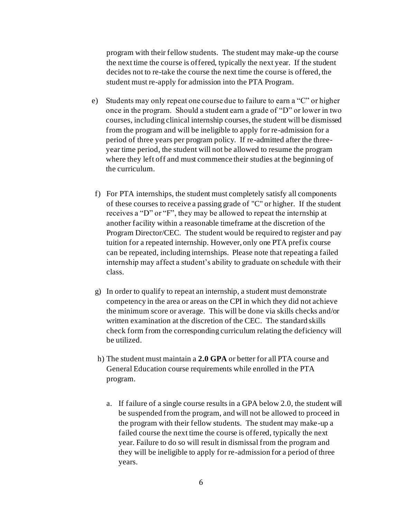program with their fellow students. The student may make-up the course the next time the course is offered, typically the next year. If the student decides not to re-take the course the next time the course is offered, the student must re-apply for admission into the PTA Program.

- e) Students may only repeat one course due to failure to earn a "C" or higher once in the program. Should a student earn a grade of "D" or lower in two courses, including clinical internship courses, the student will be dismissed from the program and will be ineligible to apply for re-admission for a period of three years per program policy. If re-admitted after the threeyear time period, the student will not be allowed to resume the program where they left off and must commence their studies at the beginning of the curriculum.
- f) For PTA internships, the student must completely satisfy all components of these courses to receive a passing grade of "C" or higher. If the student receives a "D" or "F", they may be allowed to repeat the internship at another facility within a reasonable timeframe at the discretion of the Program Director/CEC. The student would be required to register and pay tuition for a repeated internship. However, only one PTA prefix course can be repeated, including internships. Please note that repeating a failed internship may affect a student's ability to graduate on schedule with their class.
- g) In order to qualify to repeat an internship, a student must demonstrate competency in the area or areas on the CPI in which they did not achieve the minimum score or average. This will be done via skills checks and/or written examination at the discretion of the CEC. The standard skills check form from the corresponding curriculum relating the deficiency will be utilized.
- h) The student must maintain a **2.0 GPA** or better for all PTA course and General Education course requirements while enrolled in the PTA program.
	- a. If failure of a single course results in a GPA below 2.0, the student will be suspended from the program, and will not be allowed to proceed in the program with their fellow students. The student may make-up a failed course the next time the course is offered, typically the next year. Failure to do so will result in dismissal from the program and they will be ineligible to apply for re-admission for a period of three years.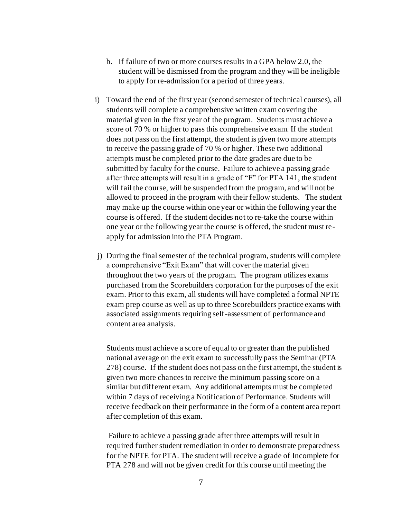- b. If failure of two or more courses results in a GPA below 2.0, the student will be dismissed from the program and they will be ineligible to apply for re-admission for a period of three years.
- i) Toward the end of the first year (second semester of technical courses), all students will complete a comprehensive written exam covering the material given in the first year of the program. Students must achieve a score of 70 % or higher to pass this comprehensive exam. If the student does not pass on the first attempt, the student is given two more attempts to receive the passing grade of 70 % or higher. These two additional attempts must be completed prior to the date grades are due to be submitted by faculty for the course. Failure to achieve a passing grade after three attempts will result in a grade of "F" for PTA 141, the student will fail the course, will be suspended from the program, and will not be allowed to proceed in the program with their fellow students. The student may make up the course within one year or within the following year the course is offered. If the student decides not to re-take the course within one year or the following year the course is offered, the student must reapply for admission into the PTA Program.
- j) During the final semester of the technical program, students will complete a comprehensive "Exit Exam" that will cover the material given throughout the two years of the program. The program utilizes exams purchased from the Scorebuilders corporation for the purposes of the exit exam. Prior to this exam, all students will have completed a formal NPTE exam prep course as well as up to three Scorebuilders practice exams with associated assignments requiring self-assessment of performance and content area analysis.

Students must achieve a score of equal to or greater than the published national average on the exit exam to successfully pass the Seminar (PTA 278) course. If the student does not pass on the first attempt, the student is given two more chances to receive the minimum passing score on a similar but different exam. Any additional attempts must be completed within 7 days of receiving a Notification of Performance. Students will receive feedback on their performance in the form of a content area report after completion of this exam.

Failure to achieve a passing grade after three attempts will result in required further student remediation in order to demonstrate preparedness for the NPTE for PTA. The student will receive a grade of Incomplete for PTA 278 and will not be given credit for this course until meeting the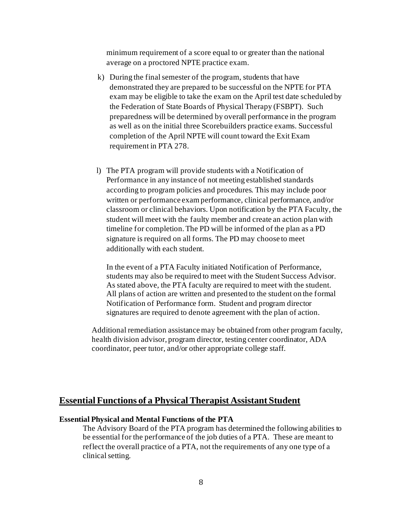minimum requirement of a score equal to or greater than the national average on a proctored NPTE practice exam.

- k) During the final semester of the program, students that have demonstrated they are prepared to be successful on the NPTE for PTA exam may be eligible to take the exam on the April test date scheduled by the Federation of State Boards of Physical Therapy (FSBPT). Such preparedness will be determined by overall performance in the program as well as on the initial three Scorebuilders practice exams. Successful completion of the April NPTE will count toward the Exit Exam requirement in PTA 278.
- l) The PTA program will provide students with a Notification of Performance in any instance of not meeting established standards according to program policies and procedures. This may include poor written or performance exam performance, clinical performance, and/or classroom or clinical behaviors. Upon notification by the PTA Faculty, the student will meet with the faulty member and create an action plan with timeline for completion. The PD will be informed of the plan as a PD signature is required on all forms. The PD may choose to meet additionally with each student.

In the event of a PTA Faculty initiated Notification of Performance, students may also be required to meet with the Student Success Advisor. As stated above, the PTA faculty are required to meet with the student. All plans of action are written and presented to the student on the formal Notification of Performance form. Student and program director signatures are required to denote agreement with the plan of action.

Additional remediation assistance may be obtained from other program faculty, health division advisor, program director, testing center coordinator, ADA coordinator, peer tutor, and/or other appropriate college staff.

### **Essential Functions of a Physical Therapist Assistant Student**

#### **Essential Physical and Mental Functions of the PTA**

The Advisory Board of the PTA program has determined the following abilities to be essential for the performance of the job duties of a PTA. These are meant to reflect the overall practice of a PTA, not the requirements of any one type of a clinical setting.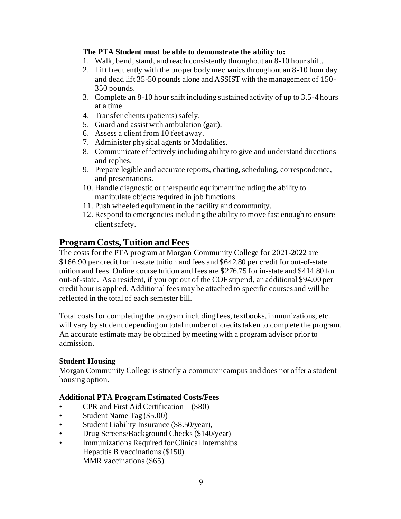#### **The PTA Student must be able to demonstrate the ability to:**

- 1. Walk, bend, stand, and reach consistently throughout an 8-10 hour shift.
- 2. Lift frequently with the proper body mechanics throughout an 8-10 hour day and dead lift 35-50 pounds alone and ASSIST with the management of 150- 350 pounds.
- 3. Complete an 8-10 hour shift including sustained activity of up to 3.5-4 hours at a time.
- 4. Transfer clients (patients) safely.
- 5. Guard and assist with ambulation (gait).
- 6. Assess a client from 10 feet away.
- 7. Administer physical agents or Modalities.
- 8. Communicate effectively including ability to give and understand directions and replies.
- 9. Prepare legible and accurate reports, charting, scheduling, correspondence, and presentations.
- 10. Handle diagnostic or therapeutic equipment including the ability to manipulate objects required in job functions.
- 11. Push wheeled equipment in the facility and community.
- 12. Respond to emergencies including the ability to move fast enough to ensure client safety.

## **Program Costs, Tuition and Fees**

The costs for the PTA program at Morgan Community College for 2021-2022 are \$166.90 per credit for in-state tuition and fees and \$642.80 per credit for out-of-state tuition and fees. Online course tuition and fees are \$276.75 for in-state and \$414.80 for out-of-state. As a resident, if you opt out of the COF stipend, an additional \$94.00 per credit hour is applied. Additional fees may be attached to specific courses and will be reflected in the total of each semester bill.

Total costs for completing the program including fees, textbooks, immunizations, etc. will vary by student depending on total number of credits taken to complete the program. An accurate estimate may be obtained by meeting with a program advisor prior to admission.

#### **Student Housing**

Morgan Community College is strictly a commuter campus and does not offer a student housing option.

#### **Additional PTA Program Estimated Costs/Fees**

- $CPR$  and First Aid Certification  $-(\$80)$
- Student Name Tag (\$5.00)
- Student Liability Insurance (\$8.50/year),
- Drug Screens/Background Checks (\$140/year)
- Immunizations Required for Clinical Internships Hepatitis B vaccinations (\$150) MMR vaccinations (\$65)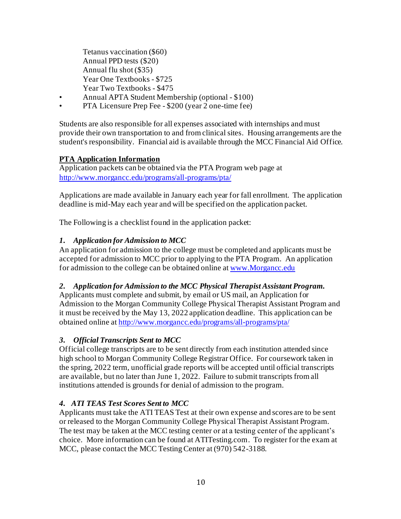Tetanus vaccination (\$60) Annual PPD tests (\$20) Annual flu shot (\$35) Year One Textbooks - \$725 Year Two Textbooks - \$475

- Annual APTA Student Membership (optional \$100)
- PTA Licensure Prep Fee \$200 (year 2 one-time fee)

Students are also responsible for all expenses associated with internships and must provide their own transportation to and from clinical sites. Housing arrangements are the student's responsibility. Financial aid is available through the MCC Financial Aid Office.

#### **PTA Application Information**

Application packets can be obtained via the PTA Program web page at <http://www.morgancc.edu/programs/all-programs/pta/>

Applications are made available in January each year for fall enrollment. The application deadline is mid-May each year and will be specified on the application packet.

The Following is a checklist found in the application packet:

#### *1. Application for Admission to MCC*

An application for admission to the college must be completed and applicants must be accepted for admission to MCC prior to applying to the PTA Program. An application for admission to the college can be obtained online at [www.Morgancc.edu](http://www.morgancc.edu/)

#### *2. Application for Admission to the MCC Physical Therapist Assistant Program.*

Applicants must complete and submit, by email or US mail, an Application for Admission to the Morgan Community College Physical Therapist Assistant Program and it must be received by the May 13, 2022 application deadline. This application can be obtained online a[t http://www.morgancc.edu/programs/all-programs/pta/](http://www.morgancc.edu/programs/all-programs/pta/)

#### *3. Official Transcripts Sent to MCC*

Official college transcripts are to be sent directly from each institution attended since high school to Morgan Community College Registrar Office. For coursework taken in the spring, 2022 term, unofficial grade reports will be accepted until official transcripts are available, but no later than June 1, 2022. Failure to submit transcripts from all institutions attended is grounds for denial of admission to the program.

#### *4. ATI TEAS Test Scores Sent to MCC*

Applicants must take the ATI TEAS Test at their own expense and scores are to be sent or released to the Morgan Community College Physical Therapist Assistant Program. The test may be taken at the MCC testing center or at a testing center of the applicant's choice. More information can be found at ATITesting.com. To register for the exam at MCC, please contact the MCC Testing Center at (970) 542-3188.